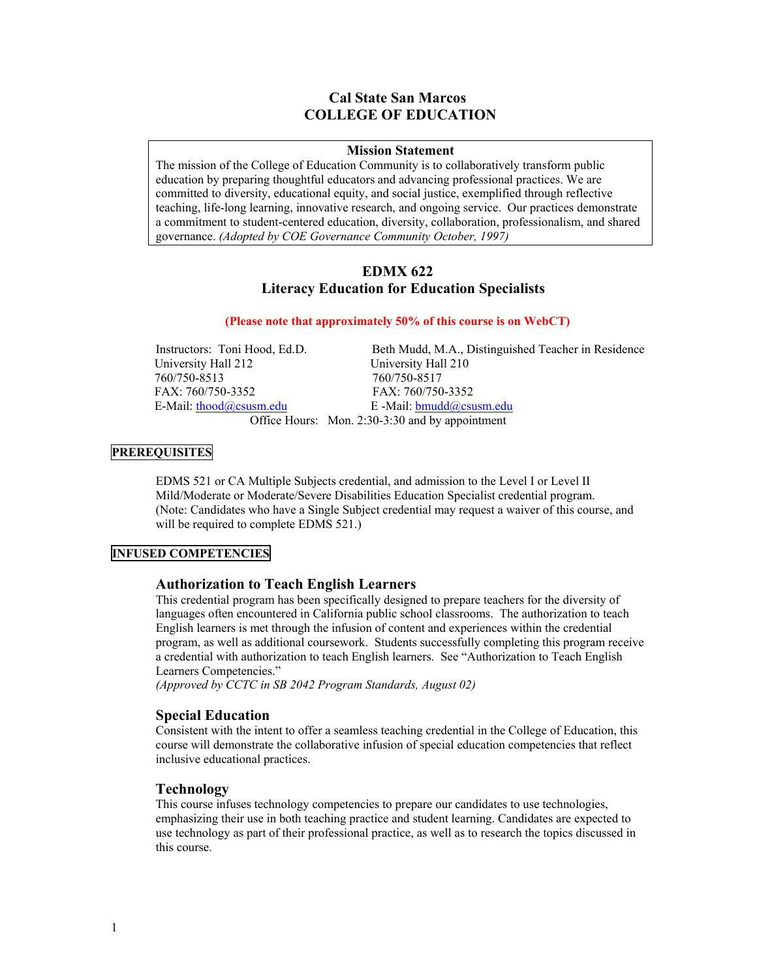### **Cal State San Marcos COLLEGE OF EDUCATION**

#### **Mission Statement**

The mission of the College of Education Community is to collaboratively transform public education by preparing thoughtful educators and advancing professional practices. We are committed to diversity, educational equity, and social justice, exemplified through reflective teaching, life-long learning, innovative research, and ongoing service. Our practices demonstrate a commitment to student-centered education, diversity, collaboration, professionalism, and shared governance. *(Adopted by COE Governance Community October, 1997)*

### **EDMX 622 Literacy Education for Education Specialists**

#### **(Please note that approximately 50% of this course is on WebCT)**

| Instructors: Toni Hood, Ed.D. | Beth Mudd, M.A., Distinguished Teacher in Residence |
|-------------------------------|-----------------------------------------------------|
| University Hall 212           | University Hall 210                                 |
| 760/750-8513                  | 760/750-8517                                        |
| FAX: 760/750-3352             | FAX: 760/750-3352                                   |
| E-Mail: thood@csusm.edu       | E -Mail: $bmudd@c)$ csusm.edu                       |
|                               | Office Hours: Mon. 2:30-3:30 and by appointment     |

### **PREREQUISITES**

EDMS 521 or CA Multiple Subjects credential, and admission to the Level I or Level II Mild/Moderate or Moderate/Severe Disabilities Education Specialist credential program. (Note: Candidates who have a Single Subject credential may request a waiver of this course, and will be required to complete EDMS 521.)

### **INFUSED COMPETENCIES**

#### **Authorization to Teach English Learners**

This credential program has been specifically designed to prepare teachers for the diversity of languages often encountered in California public school classrooms. The authorization to teach English learners is met through the infusion of content and experiences within the credential program, as well as additional coursework. Students successfully completing this program receive a credential with authorization to teach English learners. See "Authorization to Teach English Learners Competencies."

*(Approved by CCTC in SB 2042 Program Standards, August 02)* 

#### **Special Education**

Consistent with the intent to offer a seamless teaching credential in the College of Education, this course will demonstrate the collaborative infusion of special education competencies that reflect inclusive educational practices.

#### **Technology**

This course infuses technology competencies to prepare our candidates to use technologies, emphasizing their use in both teaching practice and student learning. Candidates are expected to use technology as part of their professional practice, as well as to research the topics discussed in this course.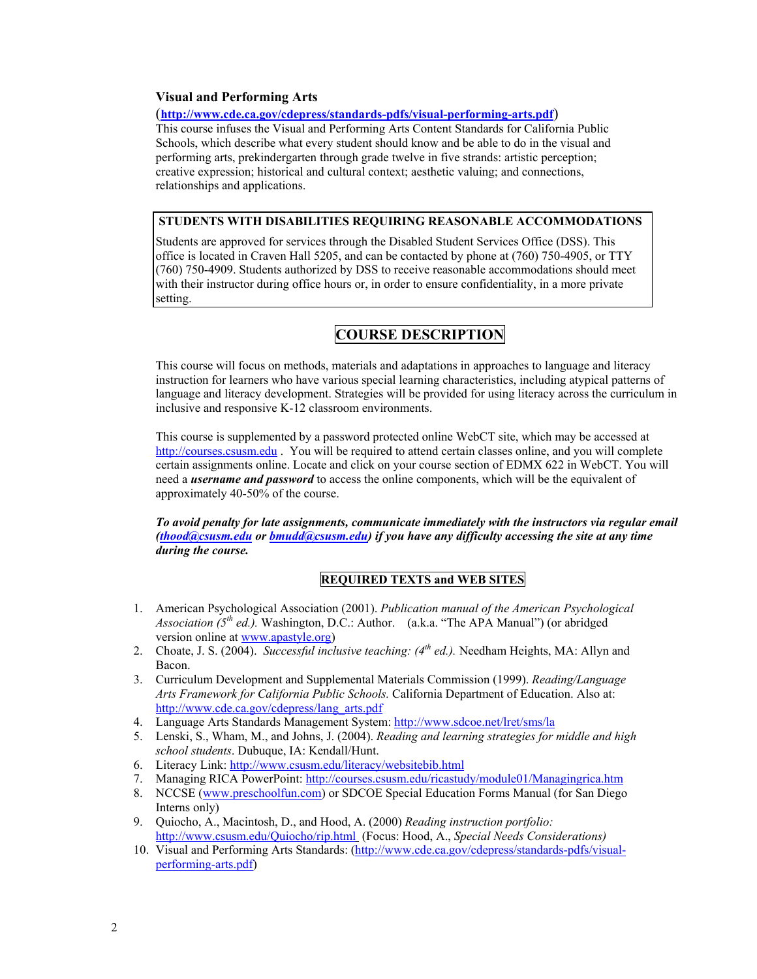#### **Visual and Performing Arts**

#### (**http://www.cde.ca.gov/cdepress/standards-pdfs/visual-performing-arts.pdf**)

This course infuses the Visual and Performing Arts Content Standards for California Public Schools, which describe what every student should know and be able to do in the visual and performing arts, prekindergarten through grade twelve in five strands: artistic perception; creative expression; historical and cultural context; aesthetic valuing; and connections, relationships and applications.

#### **STUDENTS WITH DISABILITIES REQUIRING REASONABLE ACCOMMODATIONS**

Students are approved for services through the Disabled Student Services Office (DSS). This office is located in Craven Hall 5205, and can be contacted by phone at (760) 750-4905, or TTY (760) 750-4909. Students authorized by DSS to receive reasonable accommodations should meet with their instructor during office hours or, in order to ensure confidentiality, in a more private setting.

# **COURSE DESCRIPTION**

This course will focus on methods, materials and adaptations in approaches to language and literacy instruction for learners who have various special learning characteristics, including atypical patterns of language and literacy development. Strategies will be provided for using literacy across the curriculum in inclusive and responsive K-12 classroom environments.

This course is supplemented by a password protected online WebCT site, which may be accessed at http://courses.csusm.edu . You will be required to attend certain classes online, and you will complete certain assignments online. Locate and click on your course section of EDMX 622 in WebCT. You will need a *username and password* to access the online components, which will be the equivalent of approximately 40-50% of the course.

*To avoid penalty for late assignments, communicate immediately with the instructors via regular email (thood@csusm.edu or bmudd@csusm.edu) if you have any difficulty accessing the site at any time during the course.* 

# **REQUIRED TEXTS and WEB SITES**

- 1. American Psychological Association (2001). *Publication manual of the American Psychological Association*  $(5^{th}$  *ed.).* Washington, D.C.: Author. *(a.k.a.* "The APA Manual") (or abridged version online at www.apastyle.org)
- 2. Choate, J. S. (2004). *Successful inclusive teaching: (4th ed.).* Needham Heights, MA: Allyn and Bacon.
- 3. Curriculum Development and Supplemental Materials Commission (1999). *Reading/Language Arts Framework for California Public Schools.* California Department of Education. Also at: http://www.cde.ca.gov/cdepress/lang\_arts.pdf
- 4. Language Arts Standards Management System: http://www.sdcoe.net/lret/sms/la
- 5. Lenski, S., Wham, M., and Johns, J. (2004). *Reading and learning strategies for middle and high school students*. Dubuque, IA: Kendall/Hunt.
- 6. Literacy Link: http://www.csusm.edu/literacy/websitebib.html
- 7. Managing RICA PowerPoint: http://courses.csusm.edu/ricastudy/module01/Managingrica.htm
- 8. NCCSE (www.preschoolfun.com) or SDCOE Special Education Forms Manual (for San Diego Interns only)
- 9. Quiocho, A., Macintosh, D., and Hood, A. (2000) *Reading instruction portfolio:* http://www.csusm.edu/Quiocho/rip.html (Focus: Hood, A., *Special Needs Considerations)*
- 10. Visual and Performing Arts Standards: (http://www.cde.ca.gov/cdepress/standards-pdfs/visualperforming-arts.pdf)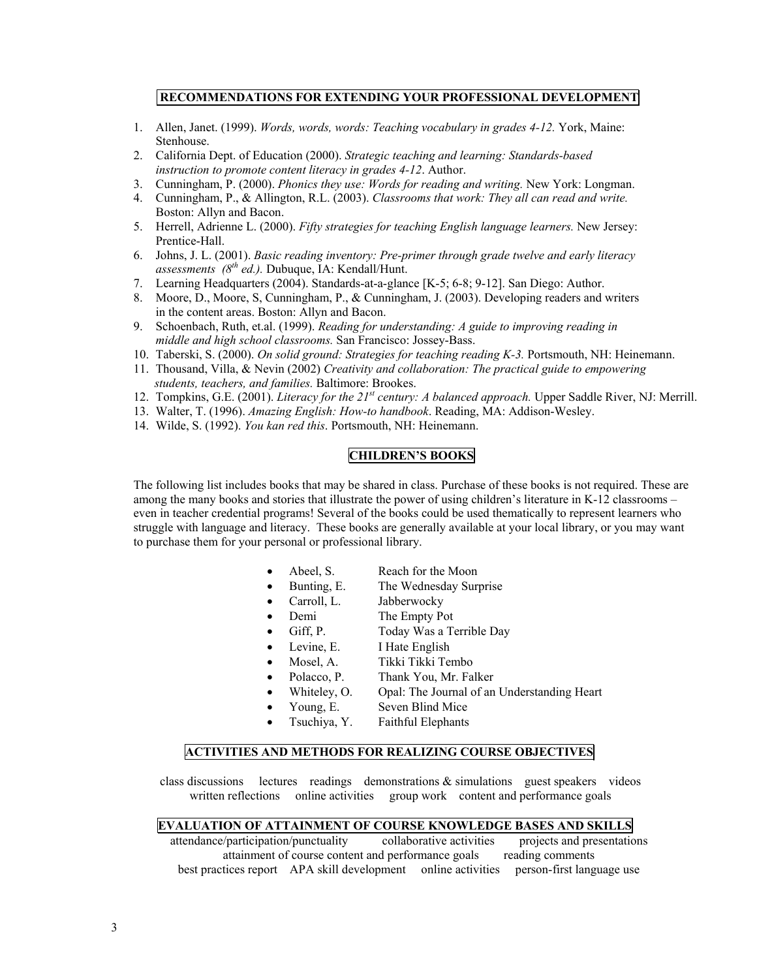#### **RECOMMENDATIONS FOR EXTENDING YOUR PROFESSIONAL DEVELOPMENT**

- 1. Allen, Janet. (1999). *Words, words, words: Teaching vocabulary in grades 4-12.* York, Maine: Stenhouse.
- 2. California Dept. of Education (2000). *Strategic teaching and learning: Standards-based instruction to promote content literacy in grades 4-12*. Author.
- 3. Cunningham, P. (2000). *Phonics they use: Words for reading and writing.* New York: Longman.
- 4. Cunningham, P., & Allington, R.L. (2003). *Classrooms that work: They all can read and write.* Boston: Allyn and Bacon.
- 5. Herrell, Adrienne L. (2000). *Fifty strategies for teaching English language learners.* New Jersey: Prentice-Hall.
- 6. Johns, J. L. (2001). *Basic reading inventory: Pre-primer through grade twelve and early literacy assessments (8th ed.).* Dubuque, IA: Kendall/Hunt.
- 7. Learning Headquarters (2004). Standards-at-a-glance [K-5; 6-8; 9-12]. San Diego: Author.
- 8. Moore, D., Moore, S, Cunningham, P., & Cunningham, J. (2003). Developing readers and writers in the content areas. Boston: Allyn and Bacon.
- 9. Schoenbach, Ruth, et.al. (1999). *Reading for understanding: A guide to improving reading in middle and high school classrooms.* San Francisco: Jossey-Bass.
- 10. Taberski, S. (2000). *On solid ground: Strategies for teaching reading K-3.* Portsmouth, NH: Heinemann.
- 11. Thousand, Villa, & Nevin (2002) *Creativity and collaboration: The practical guide to empowering students, teachers, and families.* Baltimore: Brookes.
- 12. Tompkins, G.E. (2001). *Literacy for the 21st century: A balanced approach.* Upper Saddle River, NJ: Merrill.
- 13. Walter, T. (1996). *Amazing English: How-to handbook*. Reading, MA: Addison-Wesley.
- 14. Wilde, S. (1992). *You kan red this*. Portsmouth, NH: Heinemann.

### **CHILDREN'S BOOKS**

The following list includes books that may be shared in class. Purchase of these books is not required. These are among the many books and stories that illustrate the power of using children's literature in K-12 classrooms – even in teacher credential programs! Several of the books could be used thematically to represent learners who struggle with language and literacy. These books are generally available at your local library, or you may want to purchase them for your personal or professional library.

- Abeel, S. Reach for the Moon
- Bunting, E. The Wednesday Surprise
	- Carroll, L. Jabberwocky
	- Demi The Empty Pot
	- Giff, P. Today Was a Terrible Day
	- Levine, E. I Hate English
		- Mosel, A. Tikki Tikki Tembo
	- Polacco, P. Thank You, Mr. Falker
	- Whiteley, O. Opal: The Journal of an Understanding Heart
	- Young, E. Seven Blind Mice
	- Tsuchiya, Y. Faithful Elephants

### **ACTIVITIES AND METHODS FOR REALIZING COURSE OBJECTIVES**

class discussions lectures readings demonstrations  $\&$  simulations guest speakers videos written reflections online activities group work content and performance goals

### **EVALUATION OF ATTAINMENT OF COURSE KNOWLEDGE BASES AND SKILLS**

attendance/participation/punctuality collaborative activities projects and presentations attainment of course content and performance goals reading comments best practices report APA skill development online activities person-first language use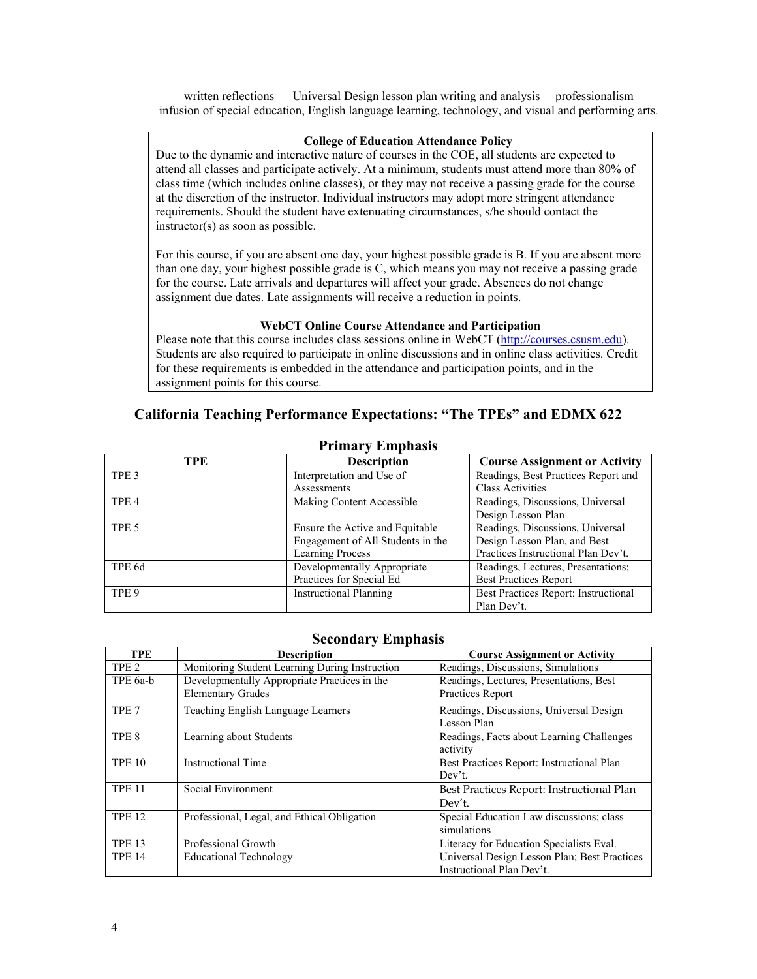written reflections Universal Design lesson plan writing and analysis professionalism infusion of special education, English language learning, technology, and visual and performing arts.

#### **College of Education Attendance Policy**

Due to the dynamic and interactive nature of courses in the COE, all students are expected to attend all classes and participate actively. At a minimum, students must attend more than 80% of class time (which includes online classes), or they may not receive a passing grade for the course at the discretion of the instructor. Individual instructors may adopt more stringent attendance requirements. Should the student have extenuating circumstances, s/he should contact the instructor(s) as soon as possible.

For this course, if you are absent one day, your highest possible grade is B. If you are absent more than one day, your highest possible grade is C, which means you may not receive a passing grade for the course. Late arrivals and departures will affect your grade. Absences do not change assignment due dates. Late assignments will receive a reduction in points.

### **WebCT Online Course Attendance and Participation**

Please note that this course includes class sessions online in WebCT (http://courses.csusm.edu). Students are also required to participate in online discussions and in online class activities. Credit for these requirements is embedded in the attendance and participation points, and in the assignment points for this course.

# **California Teaching Performance Expectations: "The TPEs" and EDMX 622**

| <b>TPE</b>       | <b>Description</b>                | <b>Course Assignment or Activity</b> |
|------------------|-----------------------------------|--------------------------------------|
| TPE <sub>3</sub> | Interpretation and Use of         | Readings, Best Practices Report and  |
|                  | Assessments                       | <b>Class Activities</b>              |
| TPE <sub>4</sub> | Making Content Accessible         | Readings, Discussions, Universal     |
|                  |                                   | Design Lesson Plan                   |
| TPE 5            | Ensure the Active and Equitable   | Readings, Discussions, Universal     |
|                  | Engagement of All Students in the | Design Lesson Plan, and Best         |
|                  | <b>Learning Process</b>           | Practices Instructional Plan Dev't.  |
| TPE 6d           | Developmentally Appropriate       | Readings, Lectures, Presentations;   |
|                  | Practices for Special Ed          | <b>Best Practices Report</b>         |
| TPE 9            | <b>Instructional Planning</b>     | Best Practices Report: Instructional |
|                  |                                   | Plan Dev't.                          |

### **Primary Emphasis**

### **Secondary Emphasis**

| <b>TPE</b>       | <b>Description</b>                             | <b>Course Assignment or Activity</b>         |
|------------------|------------------------------------------------|----------------------------------------------|
| TPE <sub>2</sub> | Monitoring Student Learning During Instruction | Readings, Discussions, Simulations           |
| TPE 6a-b         | Developmentally Appropriate Practices in the   | Readings, Lectures, Presentations, Best      |
|                  | <b>Elementary Grades</b>                       | Practices Report                             |
| TPE <sub>7</sub> | Teaching English Language Learners             | Readings, Discussions, Universal Design      |
|                  |                                                | Lesson Plan                                  |
| TPE <sub>8</sub> | Learning about Students                        | Readings, Facts about Learning Challenges    |
|                  |                                                | activity                                     |
| <b>TPE 10</b>    | <b>Instructional Time</b>                      | Best Practices Report: Instructional Plan    |
|                  |                                                | Dev't.                                       |
| <b>TPE 11</b>    | Social Environment                             | Best Practices Report: Instructional Plan    |
|                  |                                                | Dev't.                                       |
| <b>TPE 12</b>    | Professional, Legal, and Ethical Obligation    | Special Education Law discussions; class     |
|                  |                                                | simulations                                  |
| <b>TPE 13</b>    | Professional Growth                            | Literacy for Education Specialists Eval.     |
| <b>TPE 14</b>    | <b>Educational Technology</b>                  | Universal Design Lesson Plan; Best Practices |
|                  |                                                | Instructional Plan Dev't.                    |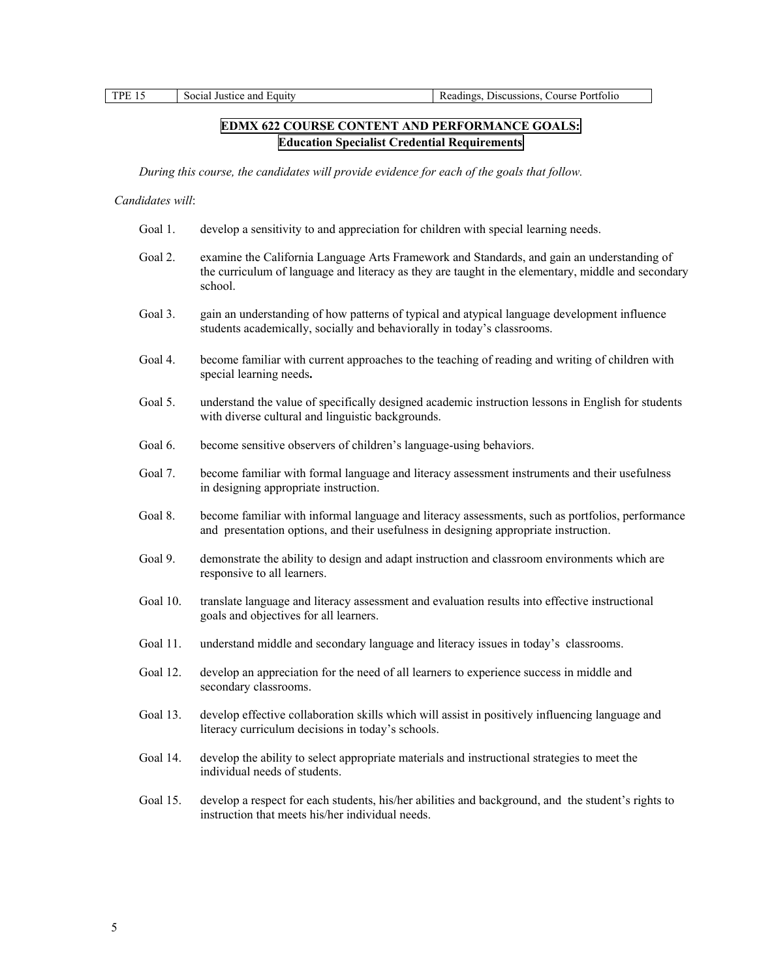## **EDMX 622 COURSE CONTENT AND PERFORMANCE GOALS: Education Specialist Credential Requirements**

*During this course, the candidates will provide evidence for each of the goals that follow.* 

#### *Candidates will*:

- Goal 1. develop a sensitivity to and appreciation for children with special learning needs.
- Goal 2. examine the California Language Arts Framework and Standards, and gain an understanding of the curriculum of language and literacy as they are taught in the elementary, middle and secondary school.
- Goal 3. gain an understanding of how patterns of typical and atypical language development influence students academically, socially and behaviorally in today's classrooms.
- Goal 4. become familiar with current approaches to the teaching of reading and writing of children with special learning needs**.**
- Goal 5. understand the value of specifically designed academic instruction lessons in English for students with diverse cultural and linguistic backgrounds.
- Goal 6. become sensitive observers of children's language-using behaviors.
- Goal 7. become familiar with formal language and literacy assessment instruments and their usefulness in designing appropriate instruction.
- Goal 8. become familiar with informal language and literacy assessments, such as portfolios, performance and presentation options, and their usefulness in designing appropriate instruction.
- Goal 9. demonstrate the ability to design and adapt instruction and classroom environments which are responsive to all learners.
- Goal 10. translate language and literacy assessment and evaluation results into effective instructional goals and objectives for all learners.
- Goal 11. understand middle and secondary language and literacy issues in today's classrooms.
- Goal 12. develop an appreciation for the need of all learners to experience success in middle and secondary classrooms.
- Goal 13. develop effective collaboration skills which will assist in positively influencing language and literacy curriculum decisions in today's schools.
- Goal 14. develop the ability to select appropriate materials and instructional strategies to meet the individual needs of students.
- Goal 15. develop a respect for each students, his/her abilities and background, and the student's rights to instruction that meets his/her individual needs.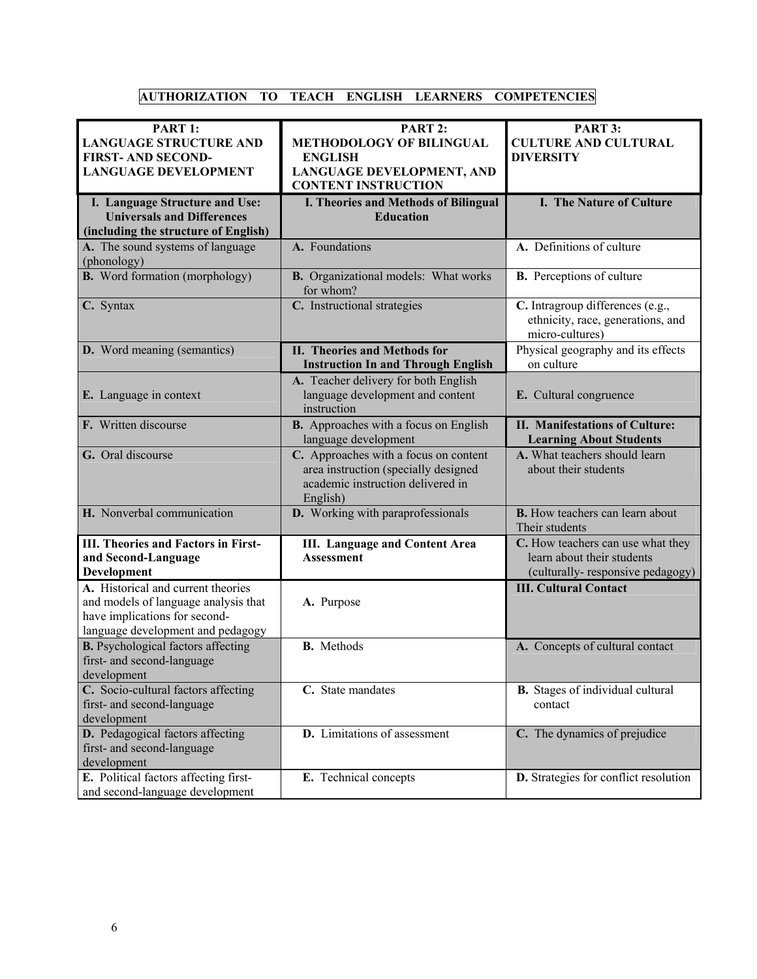# **AUTHORIZATION TO TEACH ENGLISH LEARNERS COMPETENCIES**

| PART 1:<br><b>LANGUAGE STRUCTURE AND</b><br><b>FIRST-AND SECOND-</b><br><b>LANGUAGE DEVELOPMENT</b>                                              | PART 2:<br><b>METHODOLOGY OF BILINGUAL</b><br><b>ENGLISH</b><br><b>LANGUAGE DEVELOPMENT, AND</b><br><b>CONTENT INSTRUCTION</b> | PART 3:<br><b>CULTURE AND CULTURAL</b><br><b>DIVERSITY</b>                                          |
|--------------------------------------------------------------------------------------------------------------------------------------------------|--------------------------------------------------------------------------------------------------------------------------------|-----------------------------------------------------------------------------------------------------|
| I. Language Structure and Use:<br><b>Universals and Differences</b><br>(including the structure of English)                                      | I. Theories and Methods of Bilingual<br><b>Education</b>                                                                       | I. The Nature of Culture                                                                            |
| A. The sound systems of language<br>(phonology)                                                                                                  | A. Foundations                                                                                                                 | A. Definitions of culture                                                                           |
| <b>B.</b> Word formation (morphology)                                                                                                            | B. Organizational models: What works<br>for whom?                                                                              | <b>B.</b> Perceptions of culture                                                                    |
| C. Syntax                                                                                                                                        | C. Instructional strategies                                                                                                    | C. Intragroup differences (e.g.,<br>ethnicity, race, generations, and<br>micro-cultures)            |
| <b>D.</b> Word meaning (semantics)                                                                                                               | II. Theories and Methods for<br><b>Instruction In and Through English</b>                                                      | Physical geography and its effects<br>on culture                                                    |
| E. Language in context                                                                                                                           | A. Teacher delivery for both English<br>language development and content<br>instruction                                        | E. Cultural congruence                                                                              |
| F. Written discourse                                                                                                                             | B. Approaches with a focus on English<br>language development                                                                  | II. Manifestations of Culture:<br><b>Learning About Students</b>                                    |
| G. Oral discourse                                                                                                                                | C. Approaches with a focus on content<br>area instruction (specially designed<br>academic instruction delivered in<br>English) | A. What teachers should learn<br>about their students                                               |
| H. Nonverbal communication                                                                                                                       | D. Working with paraprofessionals                                                                                              | <b>B.</b> How teachers can learn about<br>Their students                                            |
| <b>III. Theories and Factors in First-</b><br>and Second-Language<br>Development                                                                 | <b>III.</b> Language and Content Area<br><b>Assessment</b>                                                                     | C. How teachers can use what they<br>learn about their students<br>(culturally-responsive pedagogy) |
| A. Historical and current theories<br>and models of language analysis that<br>have implications for second-<br>language development and pedagogy | A. Purpose                                                                                                                     | <b>III. Cultural Contact</b>                                                                        |
| <b>B.</b> Psychological factors affecting<br>first- and second-language<br>development                                                           | <b>B.</b> Methods                                                                                                              | A. Concepts of cultural contact                                                                     |
| C. Socio-cultural factors affecting<br>first- and second-language<br>development                                                                 | C. State mandates                                                                                                              | <b>B.</b> Stages of individual cultural<br>contact                                                  |
| D. Pedagogical factors affecting<br>first- and second-language<br>development                                                                    | D. Limitations of assessment                                                                                                   | C. The dynamics of prejudice                                                                        |
| E. Political factors affecting first-<br>and second-language development                                                                         | E. Technical concepts                                                                                                          | D. Strategies for conflict resolution                                                               |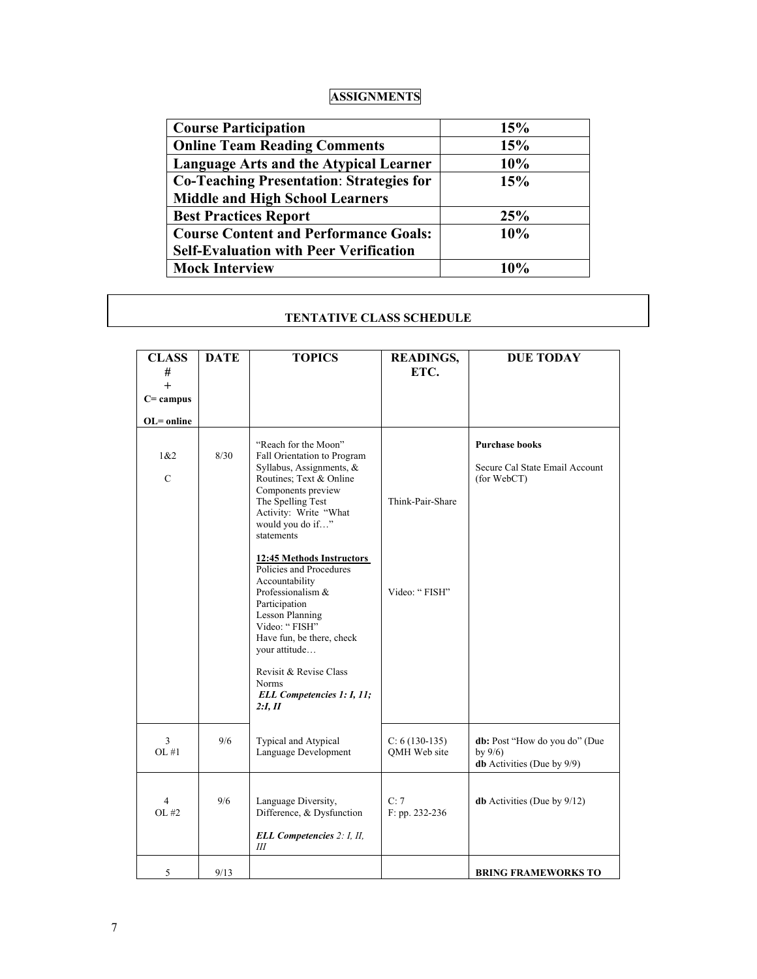# **ASSIGNMENTS**

| <b>Course Participation</b>                     | 15% |
|-------------------------------------------------|-----|
| <b>Online Team Reading Comments</b>             | 15% |
| <b>Language Arts and the Atypical Learner</b>   | 10% |
| <b>Co-Teaching Presentation: Strategies for</b> | 15% |
| <b>Middle and High School Learners</b>          |     |
| <b>Best Practices Report</b>                    | 25% |
| <b>Course Content and Performance Goals:</b>    | 10% |
| <b>Self-Evaluation with Peer Verification</b>   |     |
| <b>Mock Interview</b>                           | 10% |

| <b>CLASS</b><br>#<br>$+$ | <b>DATE</b> | <b>TOPICS</b>                                                                                                                                                                                                                                                                                                                                                                                                                                                                                                 | <b>READINGS,</b><br>ETC.          | <b>DUE TODAY</b>                                                          |
|--------------------------|-------------|---------------------------------------------------------------------------------------------------------------------------------------------------------------------------------------------------------------------------------------------------------------------------------------------------------------------------------------------------------------------------------------------------------------------------------------------------------------------------------------------------------------|-----------------------------------|---------------------------------------------------------------------------|
| $C =$ campus             |             |                                                                                                                                                                                                                                                                                                                                                                                                                                                                                                               |                                   |                                                                           |
| $OL = online$            |             |                                                                                                                                                                                                                                                                                                                                                                                                                                                                                                               |                                   |                                                                           |
| 1&2<br>$\mathcal{C}$     | 8/30        | "Reach for the Moon"<br>Fall Orientation to Program<br>Syllabus, Assignments, &<br>Routines; Text & Online<br>Components preview<br>The Spelling Test<br>Activity: Write "What<br>would you do if"<br>statements<br>12:45 Methods Instructors<br>Policies and Procedures<br>Accountability<br>Professionalism &<br>Participation<br><b>Lesson Planning</b><br>Video: "FISH"<br>Have fun, be there, check<br>your attitude<br>Revisit & Revise Class<br><b>Norms</b><br>ELL Competencies 1: I, 11;<br>2: I, II | Think-Pair-Share<br>Video: "FISH" | <b>Purchase books</b><br>Secure Cal State Email Account<br>(for WebCT)    |
| 3<br>OL#1                | 9/6         | <b>Typical and Atypical</b><br>Language Development                                                                                                                                                                                                                                                                                                                                                                                                                                                           | $C: 6(130-135)$<br>QMH Web site   | db: Post "How do you do" (Due<br>by $9/6$ )<br>db Activities (Due by 9/9) |
| $\overline{4}$<br>OL#2   | 9/6         | Language Diversity,<br>Difference, & Dysfunction<br>ELL Competencies 2: I, II,<br>Ш                                                                                                                                                                                                                                                                                                                                                                                                                           | C:7<br>$F: pp. 232-236$           | <b>db</b> Activities (Due by $9/12$ )                                     |
| 5                        | 9/13        |                                                                                                                                                                                                                                                                                                                                                                                                                                                                                                               |                                   | <b>BRING FRAMEWORKS TO</b>                                                |

### **TENTATIVE CLASS SCHEDULE**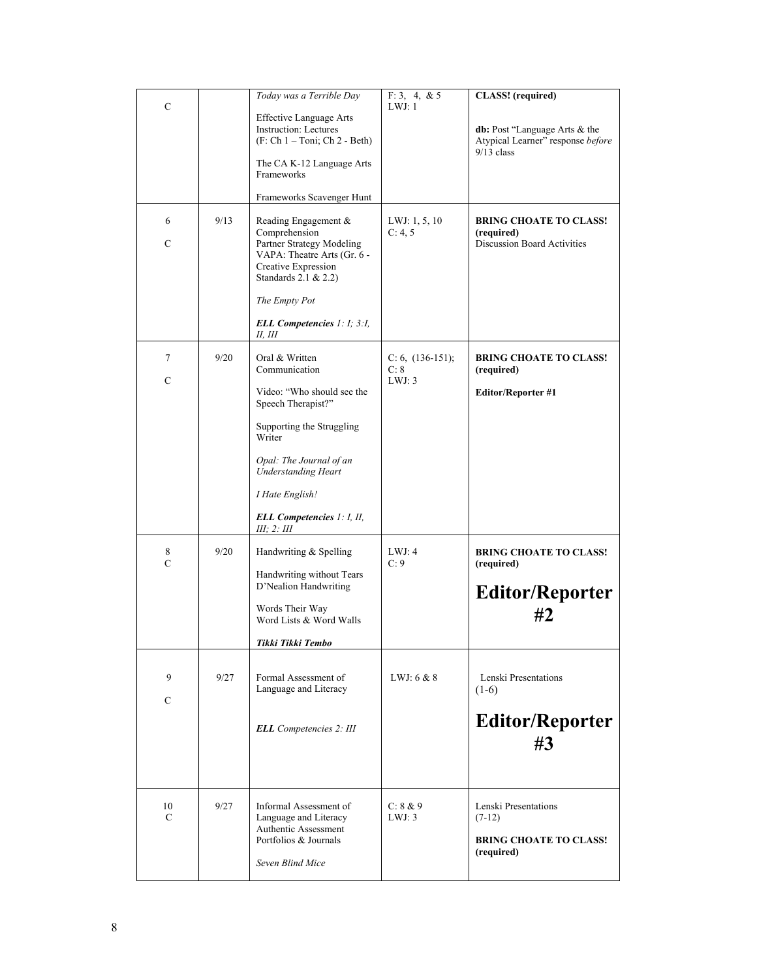| C           |      | Today was a Terrible Day                                                                                                                         | F: 3, 4, & 5<br>LWJ:1                | <b>CLASS!</b> (required)                                                        |
|-------------|------|--------------------------------------------------------------------------------------------------------------------------------------------------|--------------------------------------|---------------------------------------------------------------------------------|
|             |      | <b>Effective Language Arts</b><br><b>Instruction:</b> Lectures<br>$(F: Ch 1 - Toni; Ch 2 - Beth)$                                                |                                      | db: Post "Language Arts & the<br>Atypical Learner" response before              |
|             |      | The CA K-12 Language Arts<br>Frameworks                                                                                                          |                                      | $9/13$ class                                                                    |
|             |      | Frameworks Scavenger Hunt                                                                                                                        |                                      |                                                                                 |
| 6<br>C      | 9/13 | Reading Engagement &<br>Comprehension<br>Partner Strategy Modeling<br>VAPA: Theatre Arts (Gr. 6 -<br>Creative Expression<br>Standards 2.1 & 2.2) | LWJ: 1, 5, 10<br>C: 4, 5             | <b>BRING CHOATE TO CLASS!</b><br>(required)<br>Discussion Board Activities      |
|             |      | The Empty Pot                                                                                                                                    |                                      |                                                                                 |
|             |      | <b>ELL Competencies</b> 1: 1; 3:1,<br>Н, Ш                                                                                                       |                                      |                                                                                 |
| $\tau$<br>C | 9/20 | Oral & Written<br>Communication                                                                                                                  | $C: 6, (136-151);$<br>C: 8<br>LWJ: 3 | <b>BRING CHOATE TO CLASS!</b><br>(required)                                     |
|             |      | Video: "Who should see the<br>Speech Therapist?"                                                                                                 |                                      | <b>Editor/Reporter #1</b>                                                       |
|             |      | Supporting the Struggling<br>Writer                                                                                                              |                                      |                                                                                 |
|             |      | Opal: The Journal of an<br><b>Understanding Heart</b>                                                                                            |                                      |                                                                                 |
|             |      | I Hate English!                                                                                                                                  |                                      |                                                                                 |
|             |      | ELL Competencies 1: I, II,<br>III; 2: III                                                                                                        |                                      |                                                                                 |
| 8<br>C      | 9/20 | Handwriting & Spelling                                                                                                                           | LWJ: 4<br>C: 9                       | <b>BRING CHOATE TO CLASS!</b><br>(required)                                     |
|             |      | Handwriting without Tears<br>D'Nealion Handwriting                                                                                               |                                      | <b>Editor/Reporter</b>                                                          |
|             |      | Words Their Way<br>Word Lists & Word Walls                                                                                                       |                                      | #2                                                                              |
|             |      | Tikki Tikki Tembo                                                                                                                                |                                      |                                                                                 |
| 9<br>C      | 9/27 | Formal Assessment of<br>Language and Literacy                                                                                                    | LWJ: $6 & 8$                         | Lenski Presentations<br>$(1-6)$                                                 |
|             |      | <b>ELL</b> Competencies 2: III                                                                                                                   |                                      | <b>Editor/Reporter</b><br>#3                                                    |
| 10<br>C     | 9/27 | Informal Assessment of<br>Language and Literacy<br>Authentic Assessment<br>Portfolios & Journals<br>Seven Blind Mice                             | C: 8 & 9<br>LWJ: 3                   | Lenski Presentations<br>$(7-12)$<br><b>BRING CHOATE TO CLASS!</b><br>(required) |